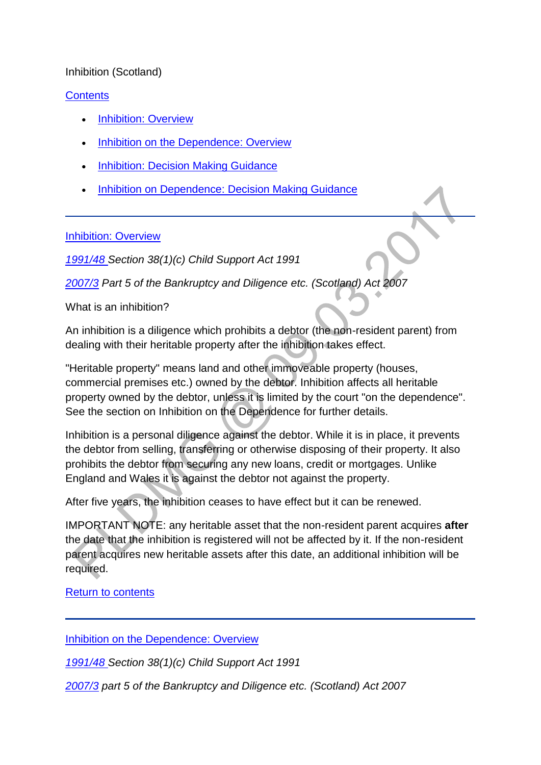### Inhibition (Scotland)

### **[Contents](http://np-cmg-sharepoint.link2.gpn.gov.uk/sites/policy-law-and-decision-making-guidance/Pages/Legal%20Enforcement%20-%20Scotland/Inhibition-%28Scotland%29.aspx)**

- [Inhibition: Overview](http://np-cmg-sharepoint.link2.gpn.gov.uk/sites/policy-law-and-decision-making-guidance/Pages/Legal%20Enforcement%20-%20Scotland/Inhibition-(Scotland).aspx#1)
- [Inhibition on the Dependence: Overview](http://np-cmg-sharepoint.link2.gpn.gov.uk/sites/policy-law-and-decision-making-guidance/Pages/Legal%20Enforcement%20-%20Scotland/Inhibition-(Scotland).aspx#2)
- [Inhibition: Decision Making Guidance](http://np-cmg-sharepoint.link2.gpn.gov.uk/sites/policy-law-and-decision-making-guidance/Pages/Legal%20Enforcement%20-%20Scotland/Inhibition-(Scotland).aspx#3)
- [Inhibition on Dependence: Decision Making Guidance](http://np-cmg-sharepoint.link2.gpn.gov.uk/sites/policy-law-and-decision-making-guidance/Pages/Legal%20Enforcement%20-%20Scotland/Inhibition-(Scotland).aspx#4)

#### [Inhibition: Overview](http://np-cmg-sharepoint.link2.gpn.gov.uk/sites/policy-law-and-decision-making-guidance/Pages/Legal%20Enforcement%20-%20Scotland/Inhibition-%28Scotland%29.aspx)

*[1991/48 S](http://www.legislation.gov.uk/ukpga/1991/48)ection 38(1)(c) Child Support Act 1991*

*[2007/3](http://www.legislation.gov.uk/asp/2007/3/contents) Part 5 of the Bankruptcy and Diligence etc. (Scotland) Act 2007* 

What is an inhibition?

An inhibition is a diligence which prohibits a debtor (the non-resident parent) from dealing with their heritable property after the inhibition takes effect.

"Heritable property" means land and other immoveable property (houses, commercial premises etc.) owned by the debtor. Inhibition affects all heritable property owned by the debtor, unless it is limited by the court "on the dependence". See the section on Inhibition on the Dependence for further details.

Inhibition is a personal diligence against the debtor. While it is in place, it prevents the debtor from selling, transferring or otherwise disposing of their property. It also prohibits the debtor from securing any new loans, credit or mortgages. Unlike England and Wales it is against the debtor not against the property.

After five years, the inhibition ceases to have effect but it can be renewed.

IMPORTANT NOTE: any heritable asset that the non-resident parent acquires **after** the date that the inhibition is registered will not be affected by it. If the non-resident parent acquires new heritable assets after this date, an additional inhibition will be required.

[Return to contents](http://np-cmg-sharepoint.link2.gpn.gov.uk/sites/policy-law-and-decision-making-guidance/Pages/Legal%20Enforcement%20-%20Scotland/Inhibition-%28Scotland%29.aspx)

[Inhibition on the Dependence: Overview](http://np-cmg-sharepoint.link2.gpn.gov.uk/sites/policy-law-and-decision-making-guidance/Pages/Legal%20Enforcement%20-%20Scotland/Inhibition-%28Scotland%29.aspx)

*[1991/48 S](http://www.legislation.gov.uk/ukpga/1991/48)ection 38(1)(c) Child Support Act 1991*

*[2007/3](http://www.legislation.gov.uk/asp/2007/3/contents) part 5 of the Bankruptcy and Diligence etc. (Scotland) Act 2007*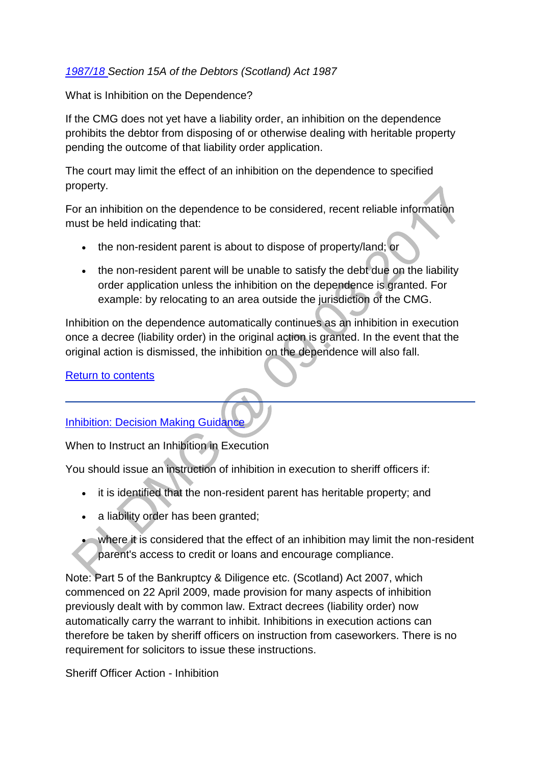### *[1987/18 S](http://www.legislation.gov.uk/ukpga/1987/18/contents)ection 15A of the Debtors (Scotland) Act 1987*

What is Inhibition on the Dependence?

If the CMG does not yet have a liability order, an inhibition on the dependence prohibits the debtor from disposing of or otherwise dealing with heritable property pending the outcome of that liability order application.

The court may limit the effect of an inhibition on the dependence to specified property.

For an inhibition on the dependence to be considered, recent reliable information must be held indicating that:

- the non-resident parent is about to dispose of property/land; or
- the non-resident parent will be unable to satisfy the debt due on the liability order application unless the inhibition on the dependence is granted. For example: by relocating to an area outside the jurisdiction of the CMG.

Inhibition on the dependence automatically continues as an inhibition in execution once a decree (liability order) in the original action is granted. In the event that the original action is dismissed, the inhibition on the dependence will also fall.

[Return to contents](http://np-cmg-sharepoint.link2.gpn.gov.uk/sites/policy-law-and-decision-making-guidance/Pages/Legal%20Enforcement%20-%20Scotland/Inhibition-(Scotland).aspx#con)

# [Inhibition: Decision Making Guidance](http://np-cmg-sharepoint.link2.gpn.gov.uk/sites/policy-law-and-decision-making-guidance/Pages/Legal%20Enforcement%20-%20Scotland/Inhibition-%28Scotland%29.aspx)

When to Instruct an Inhibition in Execution

You should issue an instruction of inhibition in execution to sheriff officers if:

- it is identified that the non-resident parent has heritable property; and
- a liability order has been granted;
- where it is considered that the effect of an inhibition may limit the non-resident parent's access to credit or loans and encourage compliance.

Note: Part 5 of the Bankruptcy & Diligence etc. (Scotland) Act 2007, which commenced on 22 April 2009, made provision for many aspects of inhibition previously dealt with by common law. Extract decrees (liability order) now automatically carry the warrant to inhibit. Inhibitions in execution actions can therefore be taken by sheriff officers on instruction from caseworkers. There is no requirement for solicitors to issue these instructions.

Sheriff Officer Action - Inhibition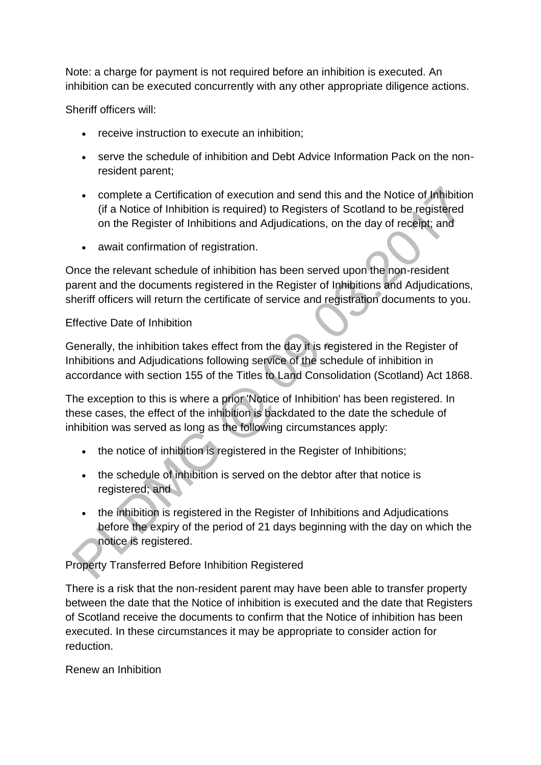Note: a charge for payment is not required before an inhibition is executed. An inhibition can be executed concurrently with any other appropriate diligence actions.

Sheriff officers will:

- receive instruction to execute an inhibition;
- serve the schedule of inhibition and Debt Advice Information Pack on the nonresident parent;
- complete a Certification of execution and send this and the Notice of Inhibition (if a Notice of Inhibition is required) to Registers of Scotland to be registered on the Register of Inhibitions and Adjudications, on the day of receipt; and
- await confirmation of registration.

Once the relevant schedule of inhibition has been served upon the non-resident parent and the documents registered in the Register of Inhibitions and Adjudications, sheriff officers will return the certificate of service and registration documents to you.

### Effective Date of Inhibition

Generally, the inhibition takes effect from the day it is registered in the Register of Inhibitions and Adjudications following service of the schedule of inhibition in accordance with section 155 of the Titles to Land Consolidation (Scotland) Act 1868.

The exception to this is where a prior 'Notice of Inhibition' has been registered. In these cases, the effect of the inhibition is backdated to the date the schedule of inhibition was served as long as the following circumstances apply:

- the notice of inhibition is registered in the Register of Inhibitions;
- the schedule of inhibition is served on the debtor after that notice is registered; and
- the inhibition is registered in the Register of Inhibitions and Adjudications before the expiry of the period of 21 days beginning with the day on which the notice is registered.

# Property Transferred Before Inhibition Registered

There is a risk that the non-resident parent may have been able to transfer property between the date that the Notice of inhibition is executed and the date that Registers of Scotland receive the documents to confirm that the Notice of inhibition has been executed. In these circumstances it may be appropriate to consider action for reduction.

Renew an Inhibition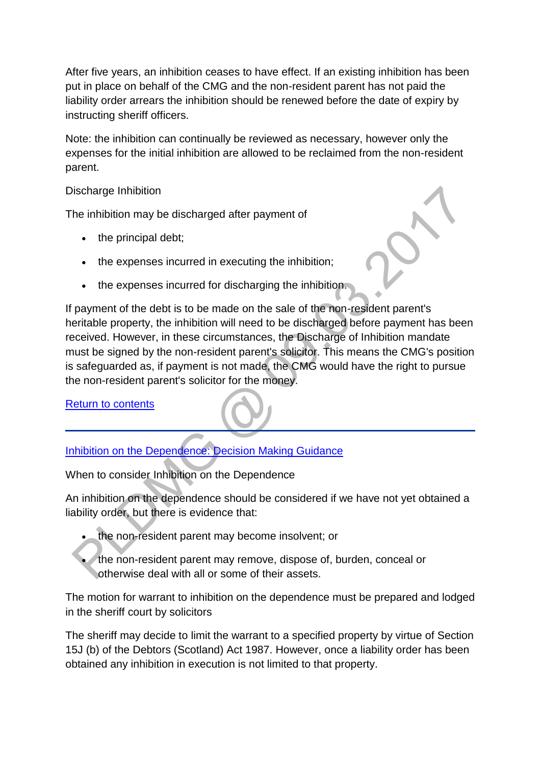After five years, an inhibition ceases to have effect. If an existing inhibition has been put in place on behalf of the CMG and the non-resident parent has not paid the liability order arrears the inhibition should be renewed before the date of expiry by instructing sheriff officers.

Note: the inhibition can continually be reviewed as necessary, however only the expenses for the initial inhibition are allowed to be reclaimed from the non-resident parent.

### Discharge Inhibition

The inhibition may be discharged after payment of

- $\bullet$  the principal debt;
- the expenses incurred in executing the inhibition;
- the expenses incurred for discharging the inhibition.

If payment of the debt is to be made on the sale of the non-resident parent's heritable property, the inhibition will need to be discharged before payment has been received. However, in these circumstances, the Discharge of Inhibition mandate must be signed by the non-resident parent's solicitor. This means the CMG's position is safeguarded as, if payment is not made, the CMG would have the right to pursue the non-resident parent's solicitor for the money.

### [Return to contents](http://np-cmg-sharepoint.link2.gpn.gov.uk/sites/policy-law-and-decision-making-guidance/Pages/Legal%20Enforcement%20-%20Scotland/Inhibition-(Scotland).aspx#con)

[Inhibition on the Dependence: Decision Making Guidance](http://np-cmg-sharepoint.link2.gpn.gov.uk/sites/policy-law-and-decision-making-guidance/Pages/Legal%20Enforcement%20-%20Scotland/Inhibition-%28Scotland%29.aspx)

When to consider Inhibition on the Dependence

An inhibition on the dependence should be considered if we have not yet obtained a liability order, but there is evidence that:

- the non-resident parent may become insolvent; or
- the non-resident parent may remove, dispose of, burden, conceal or otherwise deal with all or some of their assets.

The motion for warrant to inhibition on the dependence must be prepared and lodged in the sheriff court by solicitors

The sheriff may decide to limit the warrant to a specified property by virtue of Section 15J (b) of the Debtors (Scotland) Act 1987. However, once a liability order has been obtained any inhibition in execution is not limited to that property.